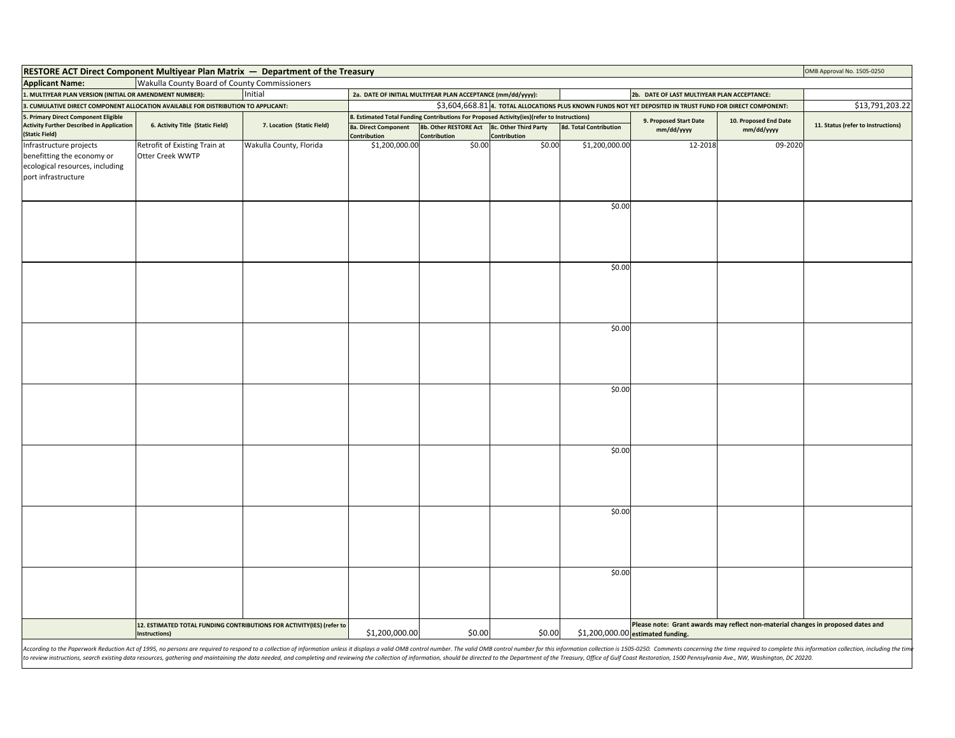| <b>RESTORE ACT Direct Component Multiyear Plan Matrix — Department of the Treasury</b>                                                                                                                                         |                                                                                                            |                            |                                                                                                            |                                                                                                                                     |                                       |                                                                                                                       | OMB Approval No. 1505-0250           |                                     |                                    |
|--------------------------------------------------------------------------------------------------------------------------------------------------------------------------------------------------------------------------------|------------------------------------------------------------------------------------------------------------|----------------------------|------------------------------------------------------------------------------------------------------------|-------------------------------------------------------------------------------------------------------------------------------------|---------------------------------------|-----------------------------------------------------------------------------------------------------------------------|--------------------------------------|-------------------------------------|------------------------------------|
| <b>Applicant Name:</b>                                                                                                                                                                                                         | Wakulla County Board of County Commissioners                                                               |                            |                                                                                                            |                                                                                                                                     |                                       |                                                                                                                       |                                      |                                     |                                    |
| Initial<br>1. MULTIYEAR PLAN VERSION (INITIAL OR AMENDMENT NUMBER):                                                                                                                                                            |                                                                                                            |                            | 2a. DATE OF INITIAL MULTIYEAR PLAN ACCEPTANCE (mm/dd/yyyy):<br>2b. DATE OF LAST MULTIYEAR PLAN ACCEPTANCE: |                                                                                                                                     |                                       |                                                                                                                       |                                      |                                     |                                    |
| 3. CUMULATIVE DIRECT COMPONENT ALLOCATION AVAILABLE FOR DISTRIBUTION TO APPLICANT:                                                                                                                                             | \$3,604,668.81 4. TOTAL ALLOCATIONS PLUS KNOWN FUNDS NOT YET DEPOSITED IN TRUST FUND FOR DIRECT COMPONENT: |                            |                                                                                                            |                                                                                                                                     |                                       | \$13,791,203.22                                                                                                       |                                      |                                     |                                    |
| 5. Primary Direct Component Eligible<br><b>Activity Further Described in Application</b><br>(Static Field)                                                                                                                     | 6. Activity Title (Static Field)                                                                           | 7. Location (Static Field) | 8a. Direct Component<br>Contribution                                                                       | B. Estimated Total Funding Contributions For Proposed Activity(ies)(refer to Instructions)<br>8b. Other RESTORE Act<br>Contribution | 8c. Other Third Party<br>Contribution | 8d. Total Contribution                                                                                                | 9. Proposed Start Date<br>mm/dd/yyyy | 10. Proposed End Date<br>mm/dd/yyyy | 11. Status (refer to Instructions) |
| Infrastructure projects<br>benefitting the economy or                                                                                                                                                                          | Retrofit of Existing Train at<br>Otter Creek WWTP                                                          | Wakulla County, Florida    | \$1,200,000.00                                                                                             | \$0.00                                                                                                                              | \$0.00                                | \$1,200,000.00                                                                                                        | 12-2018                              | 09-2020                             |                                    |
| ecological resources, including<br>port infrastructure                                                                                                                                                                         |                                                                                                            |                            |                                                                                                            |                                                                                                                                     |                                       |                                                                                                                       |                                      |                                     |                                    |
|                                                                                                                                                                                                                                |                                                                                                            |                            |                                                                                                            |                                                                                                                                     |                                       | \$0.00                                                                                                                |                                      |                                     |                                    |
|                                                                                                                                                                                                                                |                                                                                                            |                            |                                                                                                            |                                                                                                                                     |                                       | \$0.00                                                                                                                |                                      |                                     |                                    |
|                                                                                                                                                                                                                                |                                                                                                            |                            |                                                                                                            |                                                                                                                                     |                                       |                                                                                                                       |                                      |                                     |                                    |
|                                                                                                                                                                                                                                |                                                                                                            |                            |                                                                                                            |                                                                                                                                     |                                       | \$0.00                                                                                                                |                                      |                                     |                                    |
|                                                                                                                                                                                                                                |                                                                                                            |                            |                                                                                                            |                                                                                                                                     |                                       |                                                                                                                       |                                      |                                     |                                    |
|                                                                                                                                                                                                                                |                                                                                                            |                            |                                                                                                            |                                                                                                                                     |                                       | \$0.00                                                                                                                |                                      |                                     |                                    |
|                                                                                                                                                                                                                                |                                                                                                            |                            |                                                                                                            |                                                                                                                                     |                                       | \$0.00                                                                                                                |                                      |                                     |                                    |
|                                                                                                                                                                                                                                |                                                                                                            |                            |                                                                                                            |                                                                                                                                     |                                       | \$0.00                                                                                                                |                                      |                                     |                                    |
|                                                                                                                                                                                                                                |                                                                                                            |                            |                                                                                                            |                                                                                                                                     |                                       | \$0.00                                                                                                                |                                      |                                     |                                    |
| 12. ESTIMATED TOTAL FUNDING CONTRIBUTIONS FOR ACTIVITY(IES) (refer to<br>Instructions)                                                                                                                                         |                                                                                                            | \$1,200,000.00             | \$0.00                                                                                                     | \$0.00                                                                                                                              |                                       | Please note: Grant awards may reflect non-material changes in proposed dates and<br>\$1,200,000.00 estimated funding. |                                      |                                     |                                    |
| According to the Paperwork Reduction Act of 1995, no persons are required to respond to a collection of information unless it displays a valid OMB control number. The valid OMB control number for this information collectio |                                                                                                            |                            |                                                                                                            |                                                                                                                                     |                                       |                                                                                                                       |                                      |                                     |                                    |

According to the Paperwork Reduction Act of 1995, no persons are required to respond to a collection of information unless it displays a valid OMB control number. The valid OMB control number for this information is collec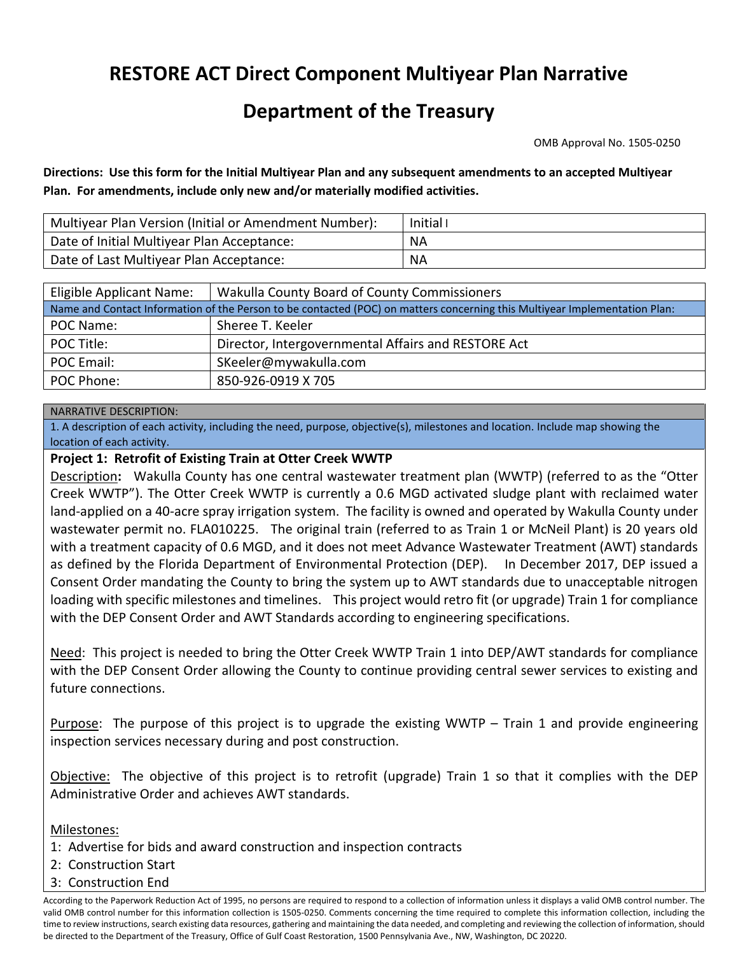# **RESTORE ACT Direct Component Multiyear Plan Narrative**

# **Department of the Treasury**

OMB Approval No. 1505-0250

 **Directions: Use this form for the Initial Multiyear Plan and any subsequent amendments to an accepted Multiyear Plan. For amendments, include only new and/or materially modified activities.** 

| Multiyear Plan Version (Initial or Amendment Number): | Initial I |
|-------------------------------------------------------|-----------|
| Date of Initial Multiyear Plan Acceptance:            | ΝA        |
| Date of Last Multiyear Plan Acceptance:               | ΝA        |

| Eligible Applicant Name:                                                                                                   | Wakulla County Board of County Commissioners        |  |  |  |  |
|----------------------------------------------------------------------------------------------------------------------------|-----------------------------------------------------|--|--|--|--|
| Name and Contact Information of the Person to be contacted (POC) on matters concerning this Multiyear Implementation Plan: |                                                     |  |  |  |  |
| POC Name:                                                                                                                  | Sheree T. Keeler                                    |  |  |  |  |
| POC Title:                                                                                                                 | Director, Intergovernmental Affairs and RESTORE Act |  |  |  |  |
| POC Email:                                                                                                                 | SKeeler@mywakulla.com                               |  |  |  |  |
| POC Phone:                                                                                                                 | 850-926-0919 X 705                                  |  |  |  |  |

#### NARRATIVE DESCRIPTION:

1. A description of each activity, including the need, purpose, objective(s), milestones and location. Include map showing the location of each activity.

#### **Project 1: Retrofit of Existing Train at Otter Creek WWTP**

 land-applied on a 40-acre spray irrigation system. The facility is owned and operated by Wakulla County under wastewater permit no. FLA010225. The original train (referred to as Train 1 or McNeil Plant) is 20 years old as defined by the Florida Department of Environmental Protection (DEP). In December 2017, DEP issued a Consent Order mandating the County to bring the system up to AWT standards due to unacceptable nitrogen with the DEP Consent Order and AWT Standards according to engineering specifications. Description**:** Wakulla County has one central wastewater treatment plan (WWTP) (referred to as the "Otter Creek WWTP"). The Otter Creek WWTP is currently a 0.6 MGD activated sludge plant with reclaimed water with a treatment capacity of 0.6 MGD, and it does not meet Advance Wastewater Treatment (AWT) standards loading with specific milestones and timelines. This project would retro fit (or upgrade) Train 1 for compliance

with the DEP Consent Order and AWT Standards according to engineering specifications.<br><u>Need</u>: This project is needed to bring the Otter Creek WWTP Train 1 into DEP/AWT standards for compliance with the DEP Consent Order allowing the County to continue providing central sewer services to existing and future connections.

Purpose: The purpose of this project is to upgrade the existing WWTP - Train 1 and provide engineering inspection services necessary during and post construction.

Objective: The objective of this project is to retrofit (upgrade) Train 1 so that it complies with the DEP Administrative Order and achieves AWT standards.

Milestones:

Administrative Order and achieves AWT standards.<br><u>Milestones:</u><br>1: Advertise for bids and award construction and inspection contracts

- 2: Construction Start
- 3: Construction End

 valid OMB control number for this information collection is 1505-0250. Comments concerning the time required to complete this information collection, including the According to the Paperwork Reduction Act of 1995, no persons are required to respond to a collection of information unless it displays a valid OMB control number. The time to review instructions, search existing data resources, gathering and maintaining the data needed, and completing and reviewing the collection of information, should be directed to the Department of the Treasury, Office of Gulf Coast Restoration, 1500 Pennsylvania Ave., NW, Washington, DC 20220.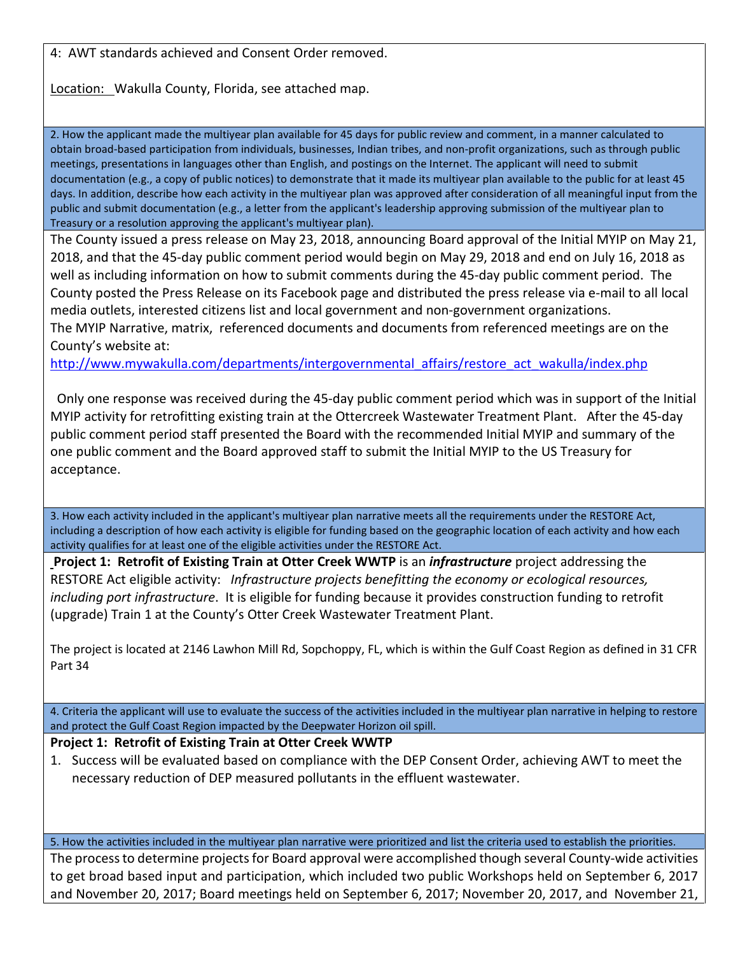4: AWT standards achieved and Consent Order removed.

Location: Wakulla County, Florida, see attached map.

2. How the applicant made the multiyear plan available for 45 days for public review and comment, in a manner calculated to obtain broad-based participation from individuals, businesses, Indian tribes, and non-profit organizations, such as through public meetings, presentations in languages other than English, and postings on the Internet. The applicant will need to submit documentation (e.g., a copy of public notices) to demonstrate that it made its multiyear plan available to the public for at least 45 days. In addition, describe how each activity in the multiyear plan was approved after consideration of all meaningful input from the public and submit documentation (e.g., a letter from the applicant's leadership approving submission of the multiyear plan to Treasury or a resolution approving the applicant's multiyear plan).

 The County issued a press release on May 23, 2018, announcing Board approval of the Initial MYIP on May 21, well as including information on how to submit comments during the 45-day public comment period. The County posted the Press Release on its Facebook page and distributed the press release via e-mail to all local 2018, and that the 45-day public comment period would begin on May 29, 2018 and end on July 16, 2018 as media outlets, interested citizens list and local government and non-government organizations.

 The MYIP Narrative, matrix, referenced documents and documents from referenced meetings are on the County's website at:

County's website at:<br>
<u>http://www.mywaku</u><br>
Only one response \

 public comment period staff presented the Board with the recommended Initial MYIP and summary of the Only one response was received during the 45-day public comment period which was in support of the Initial MYIP activity for retrofitting existing train at the Ottercreek Wastewater Treatment Plant. After the 45-day one public comment and the Board approved staff to submit the Initial MYIP to the US Treasury for acceptance.

3. How each activity included in the applicant's multiyear plan narrative meets all the requirements under the RESTORE Act, including a description of how each activity is eligible for funding based on the geographic location of each activity and how each activity qualifies for at least one of the eligible activities under the RESTORE Act.

 RESTORE Act eligible activity: *Infrastructure projects benefitting the economy or ecological resources,*  **Project 1: Retrofit of Existing Train at Otter Creek WWTP** is an *infrastructure* project addressing the *including port infrastructure*. It is eligible for funding because it provides construction funding to retrofit (upgrade) Train 1 at the County's Otter Creek Wastewater Treatment Plant.

 The project is located at 2146 Lawhon Mill Rd, Sopchoppy, FL, which is within the Gulf Coast Region as defined in 31 CFR Part 34

4. Criteria the applicant will use to evaluate the success of the activities included in the multiyear plan narrative in helping to restore and protect the Gulf Coast Region impacted by the Deepwater Horizon oil spill.

## **Project 1: Retrofit of Existing Train at Otter Creek WWTP**

 1. Success will be evaluated based on compliance with the DEP Consent Order, achieving AWT to meet the necessary reduction of DEP measured pollutants in the effluent wastewater.

5. How the activities included in the multiyear plan narrative were prioritized and list the criteria used to establish the priorities.

 The process to determine projects for Board approval were accomplished though several County-wide activities to get broad based input and participation, which included two public Workshops held on September 6, 2017 and November 20, 2017; Board meetings held on September 6, 2017; November 20, 2017, and November 21,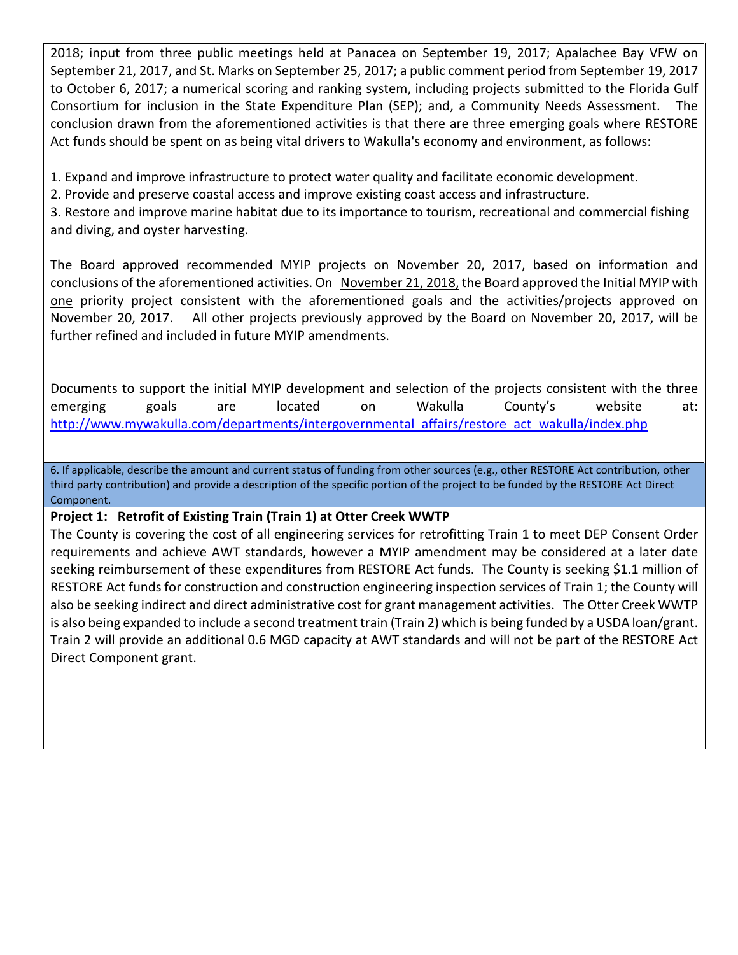Consortium for inclusion in the State Expenditure Plan (SEP); and, a Community Needs Assessment. The conclusion drawn from the aforementioned activities is that there are three emerging goals where RESTORE 2018; input from three public meetings held at Panacea on September 19, 2017; Apalachee Bay VFW on September 21, 2017, and St. Marks on September 25, 2017; a public comment period from September 19, 2017 to October 6, 2017; a numerical scoring and ranking system, including projects submitted to the Florida Gulf Act funds should be spent on as being vital drivers to Wakulla's economy and environment, as follows:

1. Expand and improve infrastructure to protect water quality and facilitate economic development.

2. Provide and preserve coastal access and improve existing coast access and infrastructure.

 3. Restore and improve marine habitat due to its importance to tourism, recreational and commercial fishing and diving, and oyster harvesting.

conclusions of the aforementioned activities. On November 21, 2018, the Board approved the Initial MYIP with The Board approved recommended MYIP projects on November 20, 2017, based on information and one priority project consistent with the aforementioned goals and the activities/projects approved on November 20, 2017. All other projects previously approved by the Board on November 20, 2017, will be further refined and included in future MYIP amendments.

 Documents to support the initial MYIP development and selection of the projects consistent with the three emerging goals are located on Wakulla County's website at: http://www.mywakulla.com/departments/intergovernmental\_affairs/restore\_act\_wakulla/index.php

6. If applicable, describe the amount and current status of funding from other sources (e.g., other RESTORE Act contribution, other third party contribution) and provide a description of the specific portion of the project to be funded by the RESTORE Act Direct Component.

## **Project 1: Retrofit of Existing Train (Train 1) at Otter Creek WWTP**

 The County is covering the cost of all engineering services for retrofitting Train 1 to meet DEP Consent Order requirements and achieve AWT standards, however a MYIP amendment may be considered at a later date RESTORE Act funds for construction and construction engineering inspection services of Train 1; the County will also be seeking indirect and direct administrative cost for grant management activities. The Otter Creek WWTP is also being expanded to include a second treatment train (Train 2) which is being funded by a USDA loan/grant. Train 2 will provide an additional 0.6 MGD capacity at AWT standards and will not be part of the RESTORE Act seeking reimbursement of these expenditures from RESTORE Act funds. The County is seeking \$1.1 million of Direct Component grant.